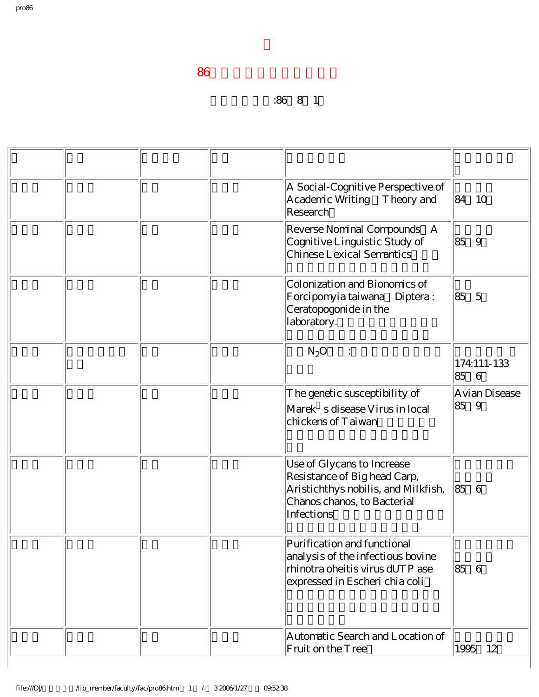## 升等生效日期:86年8月1日

|  | A Social-Cognitive Perspective of<br>Academic Writing Theory and<br>Research                                                                   | 84        | - 10          |
|--|------------------------------------------------------------------------------------------------------------------------------------------------|-----------|---------------|
|  | Reverse Nominal Compounds A<br>Cognitive Linguistic Study of<br>Chinese Lexical Semantics                                                      | 185<br>9  |               |
|  | Colonization and Bionomics of<br>Forcipomyia taiwana Diptera:<br>Ceratopogonide in the<br>laboratory.                                          | 85 5      |               |
|  | $N_2O$<br>$\ddot{\cdot}$                                                                                                                       | 85 6      | 174:111-133   |
|  | The genetic susceptibility of<br>Marek s disease Virus in local<br>chickens of Taiwan                                                          | 859       | Avian Disease |
|  | Use of Glycans to Increase<br>Resistance of Big head Carp,<br>Aristichthys nobilis, and Milkfish,<br>Chanos chanos, to Bacterial<br>Infections | 85<br>- 6 |               |
|  | Purification and functional<br>analysis of the infectious bovine<br>rhinotra oheitis virus dUTP ase<br>expressed in Escheri chia coli          | 85 6      |               |
|  | Automatic Search and Location of<br>Fruit on the Tree                                                                                          | 1995 12   |               |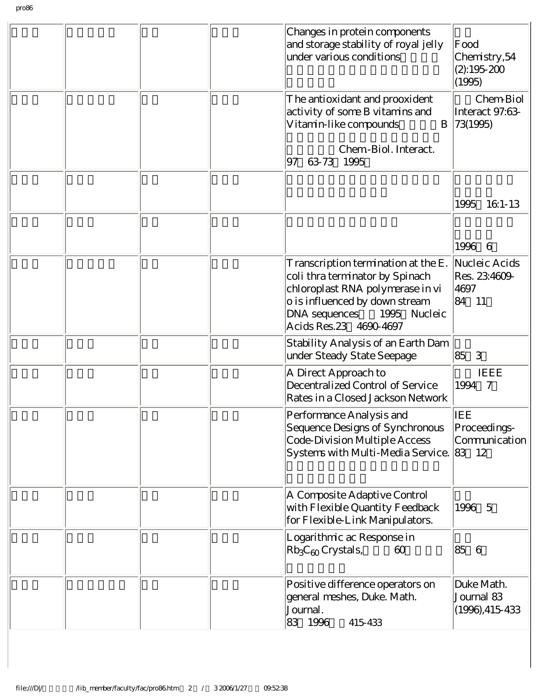|  | Changes in protein components<br>and storage stability of royal jelly<br>under various conditions                                                                                                      | Food<br>Chemistry, 54<br>$(2):195-200$<br>(1995) |
|--|--------------------------------------------------------------------------------------------------------------------------------------------------------------------------------------------------------|--------------------------------------------------|
|  | The antioxidant and prooxident<br>activity of some B vitamins and<br>Vitamin-like compounds<br>B                                                                                                       | Chem-Biol<br>Interact 97:63-<br>73(1995)         |
|  | Chem-Biol. Interact.<br>63-73 1995<br>97                                                                                                                                                               |                                                  |
|  |                                                                                                                                                                                                        | 1995<br>16:1-13                                  |
|  |                                                                                                                                                                                                        | 1996<br>6                                        |
|  | T ranscription termination at the E.<br>coli thra terminator by Spinach<br>chloroplast RNA polymerase in vi<br>o is influenced by down stream<br>DNA sequences 1995 Nucleic<br>Acids Res. 23 4690-4697 | Nucleic Acids<br>Res. 23:4609-<br>4697<br>84 11  |
|  | Stability Analysis of an Earth Dam<br>under Steady State Seepage                                                                                                                                       | 3<br>85                                          |
|  | A Direct Approach to<br>Decentralized Control of Service<br>Rates in a Closed Jackson Network                                                                                                          | <b>IEEE</b><br>1994 7                            |
|  | Performance Analysis and<br>Sequence Designs of Synchronous<br>Code-Division Multiple Access<br>Systems with Multi-Media Service.                                                                      | IEE<br>Proceedings-<br>Communication<br>83 12    |
|  | A Composite Adaptive Control<br>with Flexible Quantity Feedback<br>for Flexible-Link Manipulators.                                                                                                     | 1996 5                                           |
|  | Logarithmic ac Response in<br>$[Rb_3C_{60}$ Crystals,<br>60                                                                                                                                            | 85 6                                             |
|  | Positive difference operators on<br>general meshes, Duke. Math.<br>Journal.<br>83 1996<br>415-433                                                                                                      | Duke Math.<br>Journal 83<br>$(1996), 415-433$    |